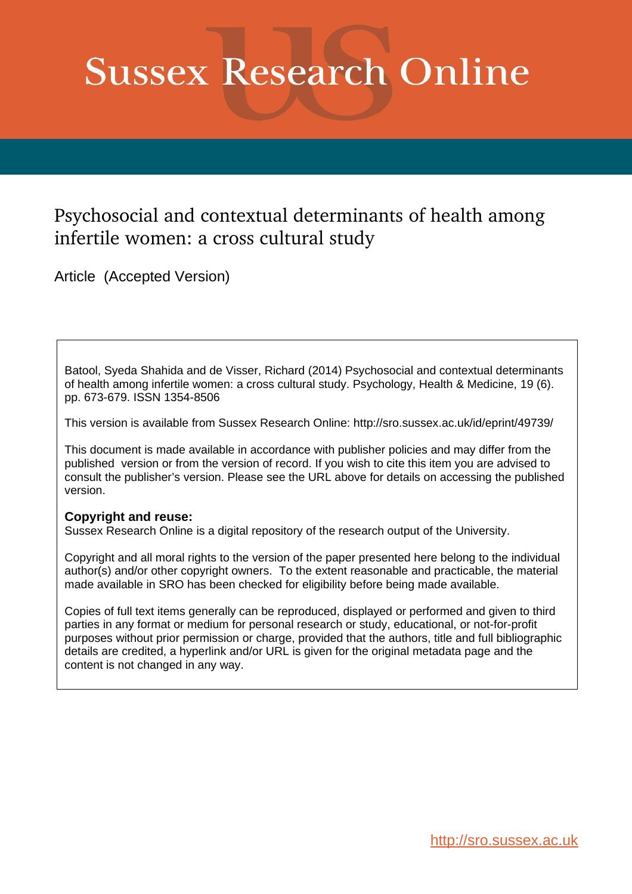# **Sussex Research Online**

## Psychosocial and contextual determinants of health among infertile women: a cross cultural study

Article (Accepted Version)

Batool, Syeda Shahida and de Visser, Richard (2014) Psychosocial and contextual determinants of health among infertile women: a cross cultural study. Psychology, Health & Medicine, 19 (6). pp. 673-679. ISSN 1354-8506

This version is available from Sussex Research Online: http://sro.sussex.ac.uk/id/eprint/49739/

This document is made available in accordance with publisher policies and may differ from the published version or from the version of record. If you wish to cite this item you are advised to consult the publisher's version. Please see the URL above for details on accessing the published version.

#### **Copyright and reuse:**

Sussex Research Online is a digital repository of the research output of the University.

Copyright and all moral rights to the version of the paper presented here belong to the individual author(s) and/or other copyright owners. To the extent reasonable and practicable, the material made available in SRO has been checked for eligibility before being made available.

Copies of full text items generally can be reproduced, displayed or performed and given to third parties in any format or medium for personal research or study, educational, or not-for-profit purposes without prior permission or charge, provided that the authors, title and full bibliographic details are credited, a hyperlink and/or URL is given for the original metadata page and the content is not changed in any way.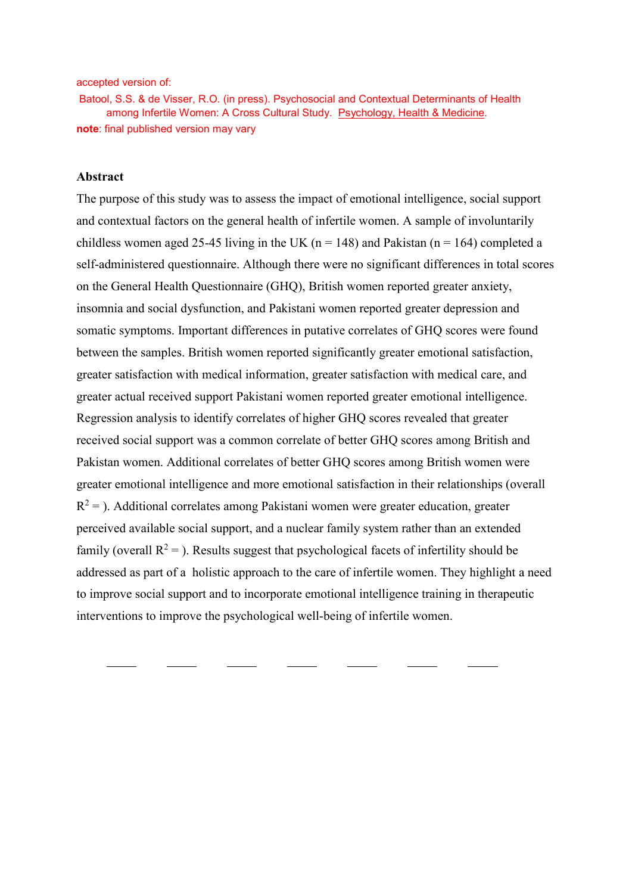accepted version of:

Batool, S.S. & de Visser, R.O. (in press). Psychosocial and Contextual Determinants of Health among Infertile Women: A Cross Cultural Study. Psychology, Health & Medicine. **note**: final published version may vary

#### **Abstract**

The purpose of this study was to assess the impact of emotional intelligence, social support and contextual factors on the general health of infertile women. A sample of involuntarily childless women aged 25-45 living in the UK ( $n = 148$ ) and Pakistan ( $n = 164$ ) completed a self-administered questionnaire. Although there were no significant differences in total scores on the General Health Questionnaire (GHQ), British women reported greater anxiety, insomnia and social dysfunction, and Pakistani women reported greater depression and somatic symptoms. Important differences in putative correlates of GHQ scores were found between the samples. British women reported significantly greater emotional satisfaction, greater satisfaction with medical information, greater satisfaction with medical care, and greater actual received support Pakistani women reported greater emotional intelligence. Regression analysis to identify correlates of higher GHQ scores revealed that greater received social support was a common correlate of better GHQ scores among British and Pakistan women. Additional correlates of better GHQ scores among British women were greater emotional intelligence and more emotional satisfaction in their relationships (overall  $R^2$  = ). Additional correlates among Pakistani women were greater education, greater perceived available social support, and a nuclear family system rather than an extended family (overall  $R^2$  = ). Results suggest that psychological facets of infertility should be addressed as part of a holistic approach to the care of infertile women. They highlight a need to improve social support and to incorporate emotional intelligence training in therapeutic interventions to improve the psychological well-being of infertile women.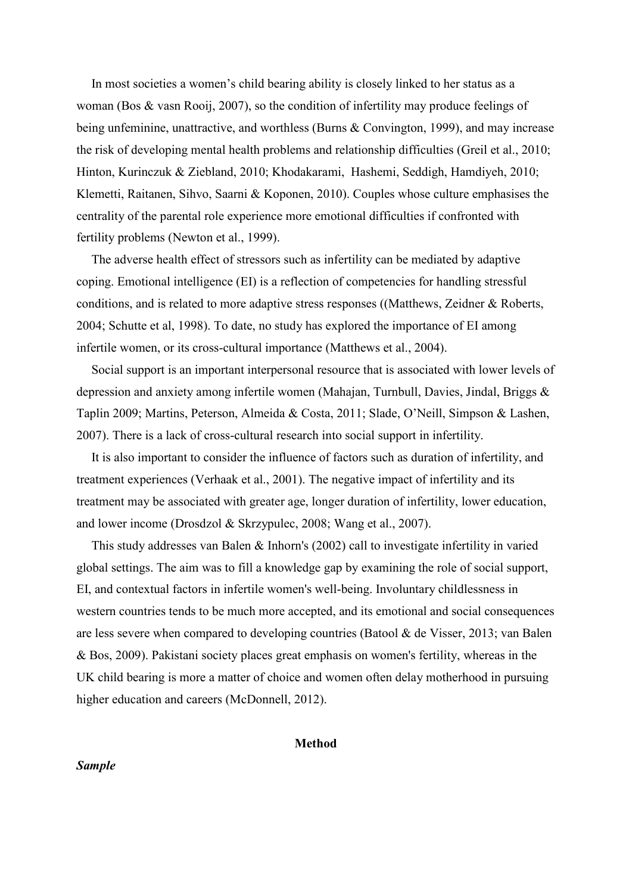In most societies a women's child bearing ability is closely linked to her status as a woman (Bos & vasn Rooij, 2007), so the condition of infertility may produce feelings of being unfeminine, unattractive, and worthless (Burns & Convington, 1999), and may increase the risk of developing mental health problems and relationship difficulties (Greil et al., 2010; Hinton, Kurinczuk & Ziebland, 2010; Khodakarami, Hashemi, Seddigh, Hamdiyeh, 2010; Klemetti, Raitanen, Sihvo, Saarni & Koponen, 2010). Couples whose culture emphasises the centrality of the parental role experience more emotional difficulties if confronted with fertility problems (Newton et al., 1999).

The adverse health effect of stressors such as infertility can be mediated by adaptive coping. Emotional intelligence (EI) is a reflection of competencies for handling stressful conditions, and is related to more adaptive stress responses ((Matthews, Zeidner & Roberts, 2004; Schutte et al, 1998). To date, no study has explored the importance of EI among infertile women, or its cross-cultural importance (Matthews et al., 2004).

Social support is an important interpersonal resource that is associated with lower levels of depression and anxiety among infertile women (Mahajan, Turnbull, Davies, Jindal, Briggs & Taplin 2009; Martins, Peterson, Almeida & Costa, 2011; Slade, O'Neill, Simpson & Lashen, 2007). There is a lack of cross-cultural research into social support in infertility.

It is also important to consider the influence of factors such as duration of infertility, and treatment experiences (Verhaak et al., 2001). The negative impact of infertility and its treatment may be associated with greater age, longer duration of infertility, lower education, and lower income (Drosdzol & Skrzypulec, 2008; Wang et al., 2007).

This study addresses van Balen & Inhorn's (2002) call to investigate infertility in varied global settings. The aim was to fill a knowledge gap by examining the role of social support, EI, and contextual factors in infertile women's well-being. Involuntary childlessness in western countries tends to be much more accepted, and its emotional and social consequences are less severe when compared to developing countries (Batool & de Visser, 2013; van Balen & Bos, 2009). Pakistani society places great emphasis on women's fertility, whereas in the UK child bearing is more a matter of choice and women often delay motherhood in pursuing higher education and careers (McDonnell, 2012).

#### **Method**

#### *Sample*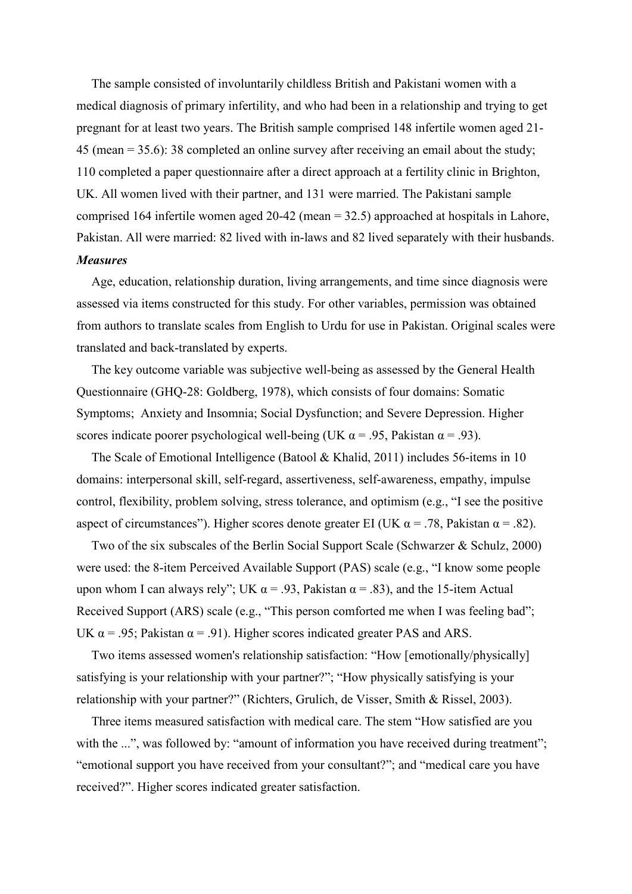The sample consisted of involuntarily childless British and Pakistani women with a medical diagnosis of primary infertility, and who had been in a relationship and trying to get pregnant for at least two years. The British sample comprised 148 infertile women aged 21- 45 (mean = 35.6): 38 completed an online survey after receiving an email about the study; 110 completed a paper questionnaire after a direct approach at a fertility clinic in Brighton, UK. All women lived with their partner, and 131 were married. The Pakistani sample comprised 164 infertile women aged 20-42 (mean = 32.5) approached at hospitals in Lahore, Pakistan. All were married: 82 lived with in-laws and 82 lived separately with their husbands. *Measures*

Age, education, relationship duration, living arrangements, and time since diagnosis were assessed via items constructed for this study. For other variables, permission was obtained from authors to translate scales from English to Urdu for use in Pakistan. Original scales were translated and back-translated by experts.

The key outcome variable was subjective well-being as assessed by the General Health Questionnaire (GHQ-28: Goldberg, 1978), which consists of four domains: Somatic Symptoms; Anxiety and Insomnia; Social Dysfunction; and Severe Depression. Higher scores indicate poorer psychological well-being (UK  $\alpha$  = .95, Pakistan  $\alpha$  = .93).

The Scale of Emotional Intelligence (Batool & Khalid, 2011) includes 56-items in 10 domains: interpersonal skill, self-regard, assertiveness, self-awareness, empathy, impulse control, flexibility, problem solving, stress tolerance, and optimism (e.g., "I see the positive aspect of circumstances"). Higher scores denote greater EI (UK  $\alpha$  = .78, Pakistan  $\alpha$  = .82).

Two of the six subscales of the Berlin Social Support Scale (Schwarzer & Schulz, 2000) were used: the 8-item Perceived Available Support (PAS) scale (e.g., "I know some people upon whom I can always rely"; UK  $\alpha$  = .93, Pakistan  $\alpha$  = .83), and the 15-item Actual Received Support (ARS) scale (e.g., "This person comforted me when I was feeling bad"; UK  $\alpha$  = .95; Pakistan  $\alpha$  = .91). Higher scores indicated greater PAS and ARS.

Two items assessed women's relationship satisfaction: "How [emotionally/physically] satisfying is your relationship with your partner?"; "How physically satisfying is your relationship with your partner?" (Richters, Grulich, de Visser, Smith & Rissel, 2003).

Three items measured satisfaction with medical care. The stem "How satisfied are you with the ...", was followed by: "amount of information you have received during treatment"; "emotional support you have received from your consultant?"; and "medical care you have received?". Higher scores indicated greater satisfaction.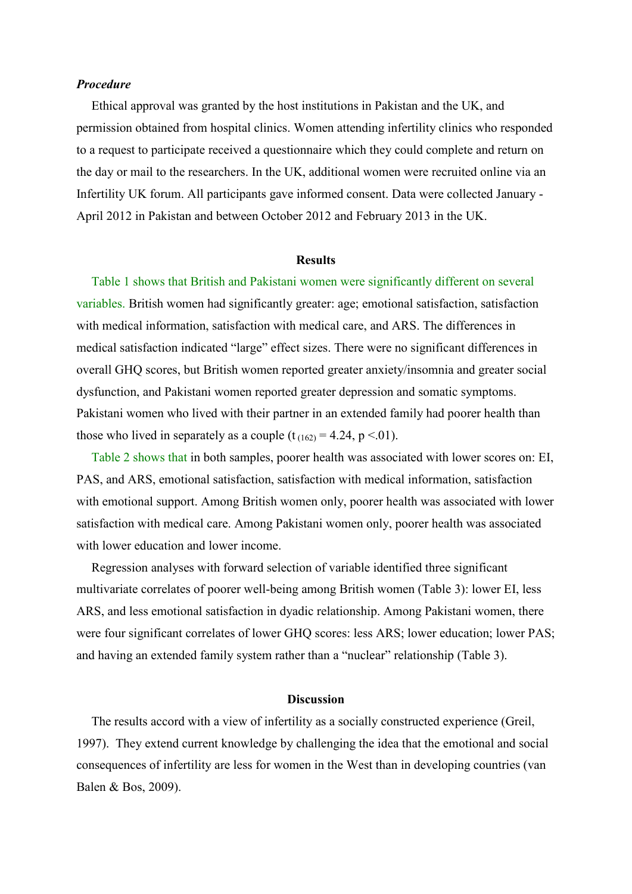#### *Procedure*

Ethical approval was granted by the host institutions in Pakistan and the UK, and permission obtained from hospital clinics. Women attending infertility clinics who responded to a request to participate received a questionnaire which they could complete and return on the day or mail to the researchers. In the UK, additional women were recruited online via an Infertility UK forum. All participants gave informed consent. Data were collected January - April 2012 in Pakistan and between October 2012 and February 2013 in the UK.

#### **Results**

Table 1 shows that British and Pakistani women were significantly different on several variables. British women had significantly greater: age; emotional satisfaction, satisfaction with medical information, satisfaction with medical care, and ARS. The differences in medical satisfaction indicated "large" effect sizes. There were no significant differences in overall GHQ scores, but British women reported greater anxiety/insomnia and greater social dysfunction, and Pakistani women reported greater depression and somatic symptoms. Pakistani women who lived with their partner in an extended family had poorer health than those who lived in separately as a couple  $(t_{(162)} = 4.24, p \le 0.01)$ .

Table 2 shows that in both samples, poorer health was associated with lower scores on: EI, PAS, and ARS, emotional satisfaction, satisfaction with medical information, satisfaction with emotional support. Among British women only, poorer health was associated with lower satisfaction with medical care. Among Pakistani women only, poorer health was associated with lower education and lower income.

Regression analyses with forward selection of variable identified three significant multivariate correlates of poorer well-being among British women (Table 3): lower EI, less ARS, and less emotional satisfaction in dyadic relationship. Among Pakistani women, there were four significant correlates of lower GHQ scores: less ARS; lower education; lower PAS; and having an extended family system rather than a "nuclear" relationship (Table 3).

#### **Discussion**

The results accord with a view of infertility as a socially constructed experience (Greil, 1997). They extend current knowledge by challenging the idea that the emotional and social consequences of infertility are less for women in the West than in developing countries (van Balen & Bos, 2009).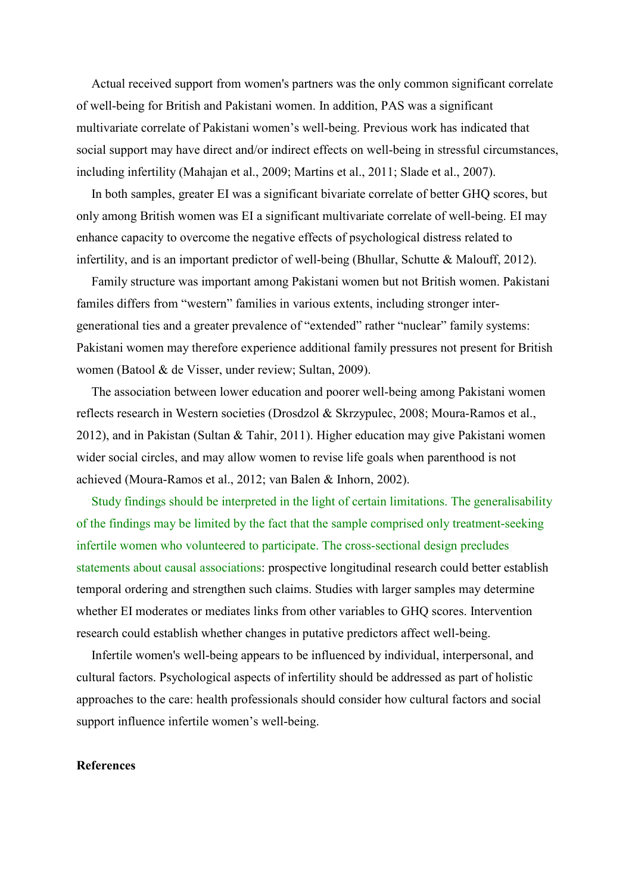Actual received support from women's partners was the only common significant correlate of well-being for British and Pakistani women. In addition, PAS was a significant multivariate correlate of Pakistani women's well-being. Previous work has indicated that social support may have direct and/or indirect effects on well-being in stressful circumstances, including infertility (Mahajan et al., 2009; Martins et al., 2011; Slade et al., 2007).

In both samples, greater EI was a significant bivariate correlate of better GHQ scores, but only among British women was EI a significant multivariate correlate of well-being. EI may enhance capacity to overcome the negative effects of psychological distress related to infertility, and is an important predictor of well-being (Bhullar, Schutte & Malouff, 2012).

Family structure was important among Pakistani women but not British women. Pakistani familes differs from "western" families in various extents, including stronger intergenerational ties and a greater prevalence of "extended" rather "nuclear" family systems: Pakistani women may therefore experience additional family pressures not present for British women (Batool & de Visser, under review; Sultan, 2009).

The association between lower education and poorer well-being among Pakistani women reflects research in Western societies (Drosdzol & Skrzypulec, 2008; Moura-Ramos et al., 2012), and in Pakistan (Sultan & Tahir, 2011). Higher education may give Pakistani women wider social circles, and may allow women to revise life goals when parenthood is not achieved (Moura-Ramos et al., 2012; van Balen & Inhorn, 2002).

Study findings should be interpreted in the light of certain limitations. The generalisability of the findings may be limited by the fact that the sample comprised only treatment-seeking infertile women who volunteered to participate. The cross-sectional design precludes statements about causal associations: prospective longitudinal research could better establish temporal ordering and strengthen such claims. Studies with larger samples may determine whether EI moderates or mediates links from other variables to GHQ scores. Intervention research could establish whether changes in putative predictors affect well-being.

Infertile women's well-being appears to be influenced by individual, interpersonal, and cultural factors. Psychological aspects of infertility should be addressed as part of holistic approaches to the care: health professionals should consider how cultural factors and social support influence infertile women's well-being.

#### **References**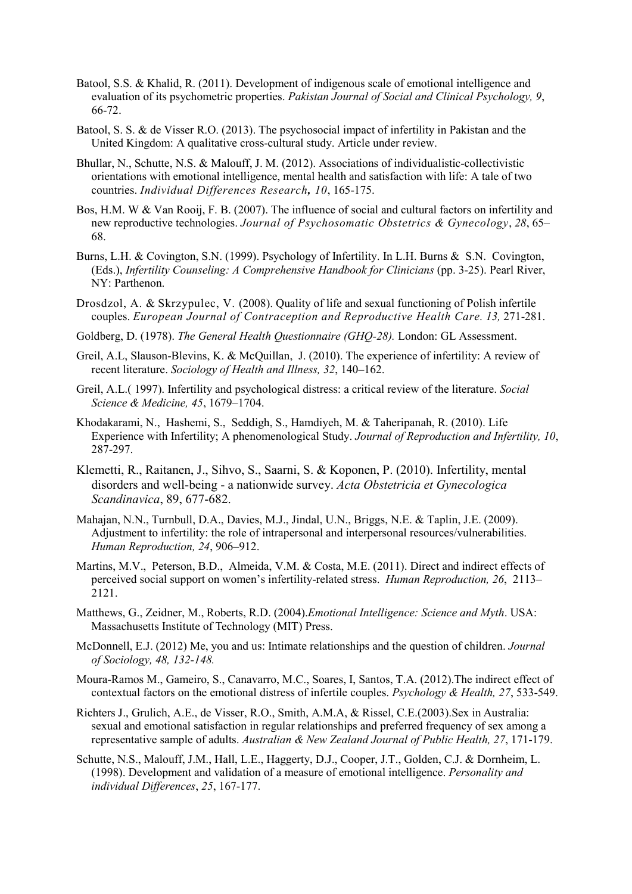- Batool, S.S. & Khalid, R. (2011). Development of indigenous scale of emotional intelligence and evaluation of its psychometric properties. *Pakistan Journal of Social and Clinical Psychology, 9*, 66-72.
- Batool, S. S. & [de Visser R.O.](http://www.ncbi.nlm.nih.gov/pubmed?term=de%20Visser%20RO%5BAuthor%5D&cauthor=true&cauthor_uid=14696708) (2013). The psychosocial impact of infertility in Pakistan and the United Kingdom: A qualitative cross-cultural study. Article under review.
- Bhullar, N., Schutte, N.S. & Malouff, J. M. (2012). Associations of individualistic-collectivistic orientations with emotional intelligence, mental health and satisfaction with life: A tale of two countries. *Individual Differences Research, 10*, 165-175.
- Bos, H.M. W & Van Rooij, F. B. (2007). The influence of social and cultural factors on infertility and new reproductive technologies. *Journal of Psychosomatic Obstetrics & Gynecology*, *28*, 65– 68.
- Burns, L.H. & Covington, S.N. (1999). Psychology of Infertility. In L.H. Burns & S.N. Covington, (Eds.), *Infertility Counseling: A Comprehensive Handbook for Clinicians* (pp. 3-25). Pearl River, NY: Parthenon.
- Drosdzol, A. & Skrzypulec, V. (2008). Quality of life and sexual functioning of Polish infertile couples. *European Journal of Contraception and Reproductive Health Care. 13, 271-281.*
- Goldberg, D. (1978). *The General Health Questionnaire (GHQ-28).* London: GL Assessment.
- Greil, A.L, Slauson-Blevins, K. & McQuillan, J. (2010). The experience of infertility: A review of recent literature. *Sociology of Health and Illness, 32*, 140–162.
- Greil, A.L.( 1997). Infertility and psychological distress: a critical review of the literature. *Social Science & Medicine, 45*, 1679–1704.
- Khodakarami, N., Hashemi, S., Seddigh, S., Hamdiyeh, M. & Taheripanah, R. (2010). Life Experience with Infertility; A phenomenological Study. *Journal of Reproduction and Infertility, 10*, 287-297.
- Klemetti, R., Raitanen, J., Sihvo, S., Saarni, S. & Koponen, P. (2010). Infertility, mental disorders and well-being - a nationwide survey. *Acta Obstetricia et Gynecologica Scandinavica*, 89, 677-682.
- Mahajan, N.N., Turnbull, D.A., Davies, M.J., Jindal, U.N., Briggs, N.E. & Taplin, J.E. (2009). Adjustment to infertility: the role of intrapersonal and interpersonal resources/vulnerabilities. *Human Reproduction, 24*, 906–912.
- Martins, M.V., Peterson, B.D., Almeida, V.M. & Costa, M.E. (2011). Direct and indirect effects of perceived social support on women's infertility-related stress. *Human Reproduction, 26*, 2113– 2121.
- Matthews, G., Zeidner, M., Roberts, R.D. (2004).*Emotional Intelligence: Science and Myth*. USA: Massachusetts Institute of Technology (MIT) Press.
- McDonnell, E.J. (2012) Me, you and us: Intimate relationships and the question of children. *Journal of Sociology, 48, 132-148.*
- Moura-Ramos M., Gameiro, S., Canavarro, M.C., Soares, I, Santos, T.A. (2012).The indirect effect of contextual factors on the emotional distress of infertile couples. *Psychology & Health, 27*, 533-549.
- Richters J., Grulich, A.E., de Visser, R.O., Smith, A.M.A, & Rissel, C.E.(2003).Sex in Australia: sexual and emotional satisfaction in regular relationships and preferred frequency of sex among a representative sample of adults. *Australian & New Zealand Journal of Public Health, 27*, 171-179.
- Schutte, N.S., Malouff, J.M., Hall, L.E., Haggerty, D.J., Cooper, J.T., Golden, C.J. & Dornheim, L. (1998). Development and validation of a measure of emotional intelligence. *Personality and individual Differences*, *25*, 167-177.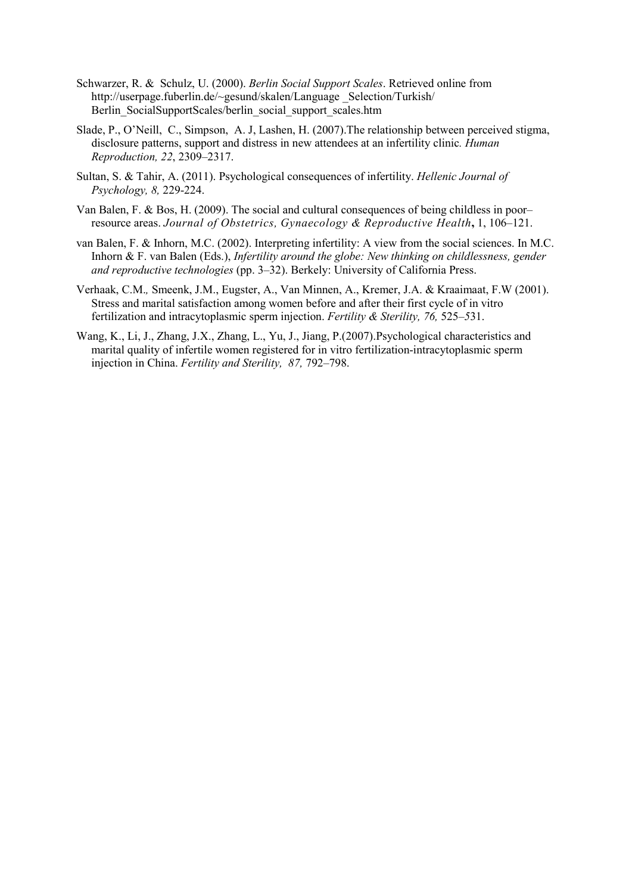- Schwarzer, R. & Schulz, U. (2000). *Berlin Social Support Scales*. Retrieved online from http://userpage.fuberlin.de/~gesund/skalen/Language Selection/Turkish/ [Berlin\\_SocialSupportScales/berlin\\_social\\_support\\_scales.htm](http://userpage.fuberlin.de/%7Egesund/skalen/Language%20_Selection/Turkish/%20Berlin_SocialSupportScales/berlin_social_support_scales.htm)
- Slade, P., O'Neill, C., Simpson, A. J, Lashen, H. (2007).The relationship between perceived stigma, disclosure patterns, support and distress in new attendees at an infertility clinic*. Human Reproduction, 22*, 2309–2317.
- Sultan, S. & Tahir, A. (2011). Psychological consequences of infertility. *Hellenic Journal of Psychology, 8,* 229-224.
- Van Balen, F. & Bos, H. (2009). The social and cultural consequences of being childless in poor– resource areas. *Journal of Obstetrics, Gynaecology & Reproductive Health***,** 1, 106–121.
- van Balen, F. & Inhorn, M.C. (2002). Interpreting infertility: A view from the social sciences. In M.C. Inhorn & F. van Balen (Eds.), *Infertility around the globe: New thinking on childlessness, gender and reproductive technologies* (pp. 3–32). Berkely: University of California Press.
- Verhaak, C.M.*,* Smeenk, J.M., Eugster, A., Van Minnen, A., Kremer, J.A. & Kraaimaat, F.W (2001). Stress and marital satisfaction among women before and after their first cycle of in vitro fertilization and intracytoplasmic sperm injection. *Fertility & Sterility, 76,* 525*–5*31.
- Wang, K., Li, J., Zhang, J.X., Zhang, L., Yu, J., Jiang, P.(2007).Psychological characteristics and marital quality of infertile women registered for in vitro fertilization-intracytoplasmic sperm injection in China. *Fertility and Sterility, 87,* 792–798.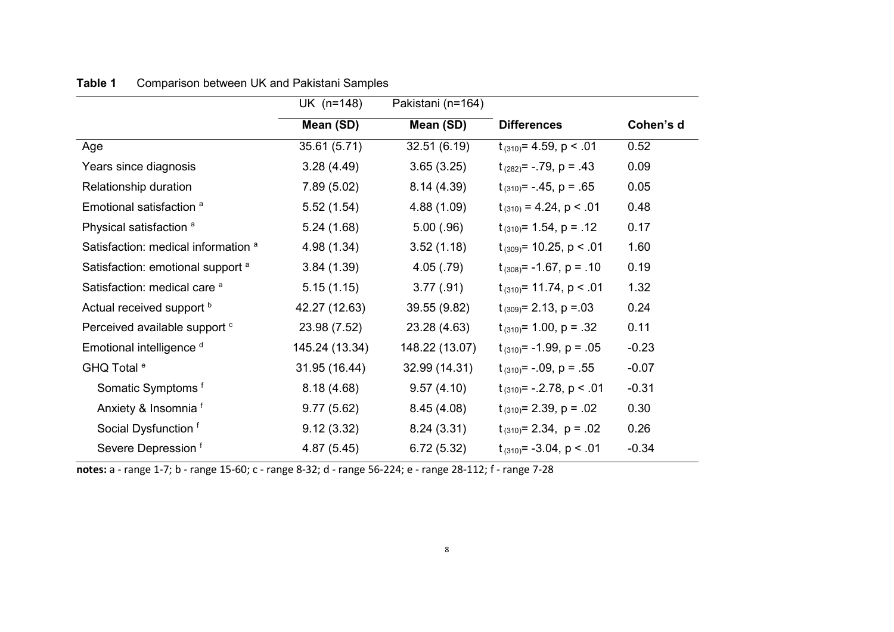|                                                | UK (n=148)     | Pakistani (n=164) |                                |           |  |
|------------------------------------------------|----------------|-------------------|--------------------------------|-----------|--|
|                                                | Mean (SD)      | Mean (SD)         | <b>Differences</b>             | Cohen's d |  |
| Age                                            | 35.61 (5.71)   | 32.51(6.19)       | $t_{(310)} = 4.59$ , p < .01   | 0.52      |  |
| Years since diagnosis                          | 3.28(4.49)     | 3.65(3.25)        | $t_{(282)} = -.79$ , p = .43   | 0.09      |  |
| Relationship duration                          | 7.89(5.02)     | 8.14(4.39)        | $t_{(310)} = -0.45$ , p = .65  | 0.05      |  |
| Emotional satisfaction <sup>a</sup>            | 5.52(1.54)     | 4.88(1.09)        | $t_{(310)} = 4.24$ , p < .01   | 0.48      |  |
| Physical satisfaction <sup>a</sup>             | 5.24(1.68)     | 5.00(.96)         | $t_{(310)} = 1.54$ , p = .12   | 0.17      |  |
| Satisfaction: medical information <sup>a</sup> | 4.98 (1.34)    | 3.52(1.18)        | $t_{(309)}$ = 10.25, p < .01   | 1.60      |  |
| Satisfaction: emotional support <sup>a</sup>   | 3.84(1.39)     | 4.05(.79)         | $t_{(308)} = -1.67$ , p = .10  | 0.19      |  |
| Satisfaction: medical care <sup>a</sup>        | 5.15(1.15)     | 3.77(.91)         | $t_{(310)} = 11.74$ , p < .01  | 1.32      |  |
| Actual received support b                      | 42.27 (12.63)  | 39.55 (9.82)      | $t_{(309)} = 2.13$ , p = 03    | 0.24      |  |
| Perceived available support <sup>c</sup>       | 23.98 (7.52)   | 23.28 (4.63)      | $t_{(310)} = 1.00$ , p = .32   | 0.11      |  |
| Emotional intelligence d                       | 145.24 (13.34) | 148.22 (13.07)    | $t_{(310)} = -1.99$ , p = .05  | $-0.23$   |  |
| GHQ Total <sup>e</sup>                         | 31.95 (16.44)  | 32.99 (14.31)     | $t_{(310)} = -.09$ , p = .55   | $-0.07$   |  |
| Somatic Symptoms <sup>f</sup>                  | 8.18(4.68)     | 9.57(4.10)        | $t_{(310)} = -.2.78$ , p < .01 | $-0.31$   |  |
| Anxiety & Insomnia f                           | 9.77(5.62)     | 8.45(4.08)        | $t_{(310)} = 2.39$ , p = .02   | 0.30      |  |
| Social Dysfunction f                           | 9.12(3.32)     | 8.24(3.31)        | $t_{(310)} = 2.34$ , p = .02   | 0.26      |  |
| Severe Depression f                            | 4.87(5.45)     | 6.72(5.32)        | $t_{(310)} = -3.04$ , p < .01  | $-0.34$   |  |

### **Table 1** Comparison between UK and Pakistani Samples

**notes:** a - range 1-7; b - range 15-60; c - range 8-32; d - range 56-224; e - range 28-112; f - range 7-28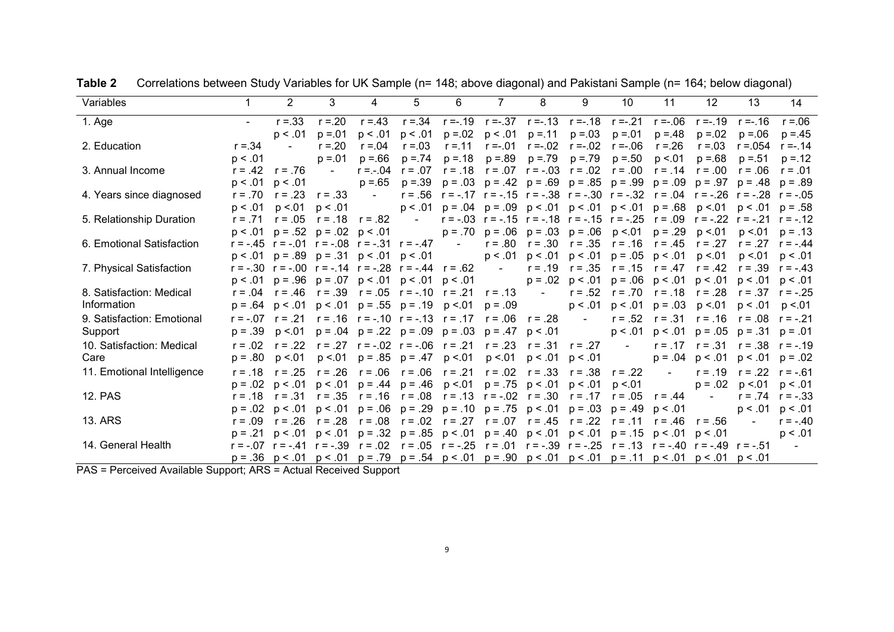| Variables                  |           | $\overline{2}$ | 3                                                                                                                                                     | 4                 | 5                                                                                                   | 6                                                                                                           |           | 8                                                                                        | 9                   | 10        | 11                            | 12                                                           | 13                | 14                   |
|----------------------------|-----------|----------------|-------------------------------------------------------------------------------------------------------------------------------------------------------|-------------------|-----------------------------------------------------------------------------------------------------|-------------------------------------------------------------------------------------------------------------|-----------|------------------------------------------------------------------------------------------|---------------------|-----------|-------------------------------|--------------------------------------------------------------|-------------------|----------------------|
| 1. Age                     |           | $r = 33$       | $r = 20$                                                                                                                                              | $r = 43$          |                                                                                                     | $r = 0.34$ $r = -0.19$ $r = -0.37$ $r = -0.13$ $r = -0.18$                                                  |           |                                                                                          |                     | $r = -21$ | $r = -06$                     | $r = -0.19$                                                  | $r = -0.16$       | $r = 06$             |
|                            |           | p < .01        | $p = 01$                                                                                                                                              | p < .01           | p < .01                                                                                             | $p = 0.02$                                                                                                  |           | $p < .01$ $p = .11$                                                                      | $p = 0.03$          | $p = 01$  | $p = 48$                      | $p = 0.02$                                                   | $p = 06$          | $p = 45$             |
| 2. Education               | $r = 34$  |                | $r = 20$                                                                                                                                              | $r = 0.04$        | $r = 0.03$                                                                                          | $r = 11$                                                                                                    |           | $r = -01$ $r = -02$                                                                      | $r = -02$           | $r = -06$ | $r = 26$                      | $r = 0.03$                                                   | $r = 0.054$       | $r = -0.14$          |
|                            | p < .01   |                | $p = 01$                                                                                                                                              | $p = 66$          | $p = 74$                                                                                            | $p = 18$                                                                                                    |           | $p = .89$ $p = .79$                                                                      | $p = 79$            | $p = 50$  | p < 01                        | $p = 68$                                                     | $p = 51$          | $p = 12$             |
| 3. Annual Income           | $r = .42$ | $r = .76$      |                                                                                                                                                       | $r = -04$         | $r = .07$                                                                                           | $r = .18$                                                                                                   |           | $r = .07$ $r = -.03$ $r = .02$                                                           |                     | $r = .00$ | $r = .14$                     | $r = .00$                                                    | $r = .06$         | $r = .01$            |
|                            | p < .01   | p < 0.01       |                                                                                                                                                       | $p = 65$          | $p = 39$                                                                                            |                                                                                                             |           | $p = .03$ $p = .42$ $p = .69$ $p = .85$ $p = .99$ $p = .09$ $p = .97$ $p = .48$          |                     |           |                               |                                                              |                   | $p = .89$            |
| 4. Years since diagnosed   | $r = .70$ | $r = .23$      | $r = .33$                                                                                                                                             | $\sim$            |                                                                                                     | $r = .56$ $r = -.17$ $r = -.15$ $r = -.38$ $r = -.30$ $r = -.32$ $r = .04$ $r = -.26$ $r = -.28$ $r = -.05$ |           |                                                                                          |                     |           |                               |                                                              |                   |                      |
|                            | p < .01   | p < 01         | p < .01                                                                                                                                               |                   |                                                                                                     | $p < .01$ $p = .04$ $p = .09$ $p < .01$ $p < .01$ $p < .01$ $p = .68$                                       |           |                                                                                          |                     |           |                               |                                                              | $p < 01$ $p < 01$ | $p = .58$            |
| 5. Relationship Duration   | $r = 71$  | $r = .05$      |                                                                                                                                                       | $r = 18$ $r = 82$ | <b>Contract Contract</b>                                                                            |                                                                                                             |           | $r = -03$ $r = -15$ $r = -18$ $r = -15$ $r = -25$ $r = 09$ $r = -22$ $r = -21$ $r = -12$ |                     |           |                               |                                                              |                   |                      |
|                            | p < 0.01  |                | $p = .52$ $p = .02$ $p < .01$                                                                                                                         |                   |                                                                                                     |                                                                                                             |           | $p = .70$ $p = .06$ $p = .03$ $p = .06$                                                  |                     |           | $p < 01$ $p = 0.29$           | p < 01                                                       | p < 01            | $p = .13$            |
| 6. Emotional Satisfaction  |           |                | $r = -.45$ $r = -.01$ $r = -.08$ $r = -.31$ $r = -.47$ -                                                                                              |                   |                                                                                                     |                                                                                                             |           | $r = .80$ $r = .30$                                                                      | $r = .35$           | $r = .16$ | $r = .45$                     | $r = .27$                                                    |                   | $r = .27$ $r = -.44$ |
|                            |           |                | $p < .01$ $p = .89$ $p = .31$ $p < .01$ $p < .01$                                                                                                     |                   |                                                                                                     |                                                                                                             |           | $p < .01$ $p < .01$ $p < .01$ $p = .05$ $p < .01$                                        |                     |           |                               | p < 01                                                       | p < 01            | p < 0.01             |
| 7. Physical Satisfaction   |           |                | $r = -.30$ $r = -.00$ $r = -.14$ $r = -.28$ $r = -.44$ $r = .62$ -                                                                                    |                   |                                                                                                     |                                                                                                             |           |                                                                                          | $r = .19$ $r = .35$ |           | $r = .15$ $r = .47$ $r = .42$ |                                                              | $r = .39$         | $r = -.43$           |
|                            |           |                | $p < .01$ $p = .96$ $p = .07$ $p < .01$ $p < .01$ $p < .01$                                                                                           |                   |                                                                                                     |                                                                                                             |           |                                                                                          |                     |           |                               | $p = .02$ $p < .01$ $p = .06$ $p < .01$ $p < .01$ $p < .01$  |                   | p < .01              |
| 8. Satisfaction: Medical   |           |                | $r = .04$ $r = .46$ $r = .39$ $r = .05$ $r = -.10$ $r = .21$ $r = .13$ -                                                                              |                   |                                                                                                     |                                                                                                             |           |                                                                                          |                     |           |                               | $r = .52$ $r = .70$ $r = .18$ $r = .28$ $r = .37$ $r = -.25$ |                   |                      |
| Information                | $p = .64$ | p < .01        |                                                                                                                                                       |                   | $p < .01$ $p = .55$ $p = .19$                                                                       | p < 01                                                                                                      | $p = .09$ |                                                                                          |                     |           | $p < .01$ $p < .01$ $p = .03$ | p < 01                                                       | p < .01           | p <.01               |
| 9. Satisfaction: Emotional |           |                | $r = -07$ $r = 0.21$ $r = 0.16$ $r = -0.10$ $r = 0.17$ $r = 0.06$ $r = 0.28$ -                                                                        |                   |                                                                                                     |                                                                                                             |           |                                                                                          |                     |           | $r = .52$ $r = .31$           | $r = .16$ $r = .08$ $r = -.21$                               |                   |                      |
| Support                    | $p = .39$ | p <.01         |                                                                                                                                                       |                   | $p = .04$ $p = .22$ $p = .09$ $p = .03$                                                             |                                                                                                             |           | $p = .47 p < .01$                                                                        |                     |           | $p < .01$ $p < .01$ $p = .05$ |                                                              | $p = .31$         | $p = .01$            |
| 10. Satisfaction: Medical  | $r = .02$ | $r = 22$       |                                                                                                                                                       |                   | $r = .27$ $r = -.02$ $r = -.06$ $r = .21$                                                           |                                                                                                             |           | $r = .23$ $r = .31$ $r = .27$                                                            |                     | $\sim$    |                               | $r = .17$ $r = .31$                                          | $r = .38$         | $r = -.19$           |
| Care                       | $p = .80$ | p <.01         |                                                                                                                                                       |                   | $p < 01$ $p = .85$ $p = .47$ $p < 01$                                                               |                                                                                                             |           | $p < 01$ $p < 01$ $p < 01$                                                               |                     |           |                               | $p = .04$ $p < .01$                                          | p < .01           | $p = .02$            |
| 11. Emotional Intelligence | $r = .18$ | $r = .25$      |                                                                                                                                                       |                   | $r = .26$ $r = .06$ $r = .06$ $r = .21$                                                             |                                                                                                             |           | $r = .02 \quad r = .33$                                                                  | $r = .38$           | $r = .22$ | $\sim$                        | $r = .19$ $r = .22$                                          |                   | $r = -.61$           |
|                            | $p = .02$ | p < .01        |                                                                                                                                                       |                   | $p < .01$ $p = .44$ $p = .46$ $p < .01$ $p = .75$ $p < .01$ $p < .01$                               |                                                                                                             |           |                                                                                          |                     | p < 01    |                               | $p = .02$                                                    | p < 01            | p < .01              |
| <b>12. PAS</b>             | $r = .18$ | $r = .31$      |                                                                                                                                                       |                   | $r = .35$ $r = .16$ $r = .08$ $r = .13$ $r = -.02$ $r = .30$                                        |                                                                                                             |           |                                                                                          | $r = .17$ $r = .05$ |           | $r = .44$                     | $\sim 100$                                                   |                   | $r = .74$ $r = -.33$ |
|                            | $p = .02$ | p < .01        |                                                                                                                                                       |                   | $p < .01$ $p = .06$ $p = .29$ $p = .10$ $p = .75$ $p < .01$ $p = .03$ $p = .49$                     |                                                                                                             |           |                                                                                          |                     |           | n < .01                       |                                                              | p < .01           | p < .01              |
| <b>13. ARS</b>             | $r = .09$ | $r = .26$      |                                                                                                                                                       |                   | $r = .28$ $r = .08$ $r = .02$ $r = .27$ $r = .07$ $r = .45$ $r = .22$                               |                                                                                                             |           |                                                                                          |                     | $r = .11$ |                               | $r = .46$ $r = .56$                                          | $\sim$ $^{-1}$    | $r = -.40$           |
|                            | $p = .21$ | p < 0.01       |                                                                                                                                                       |                   | $p < .01$ $p = .32$ $p = .85$ $p < .01$ $p = .40$ $p < .01$ $p < .01$ $p = .15$ $p < .01$ $p < .01$ |                                                                                                             |           |                                                                                          |                     |           |                               |                                                              |                   | p < 0.01             |
| 14. General Health         |           |                | $r = -07$ $r = -0.41$ $r = -0.39$ $r = 0.02$ $r = 0.05$ $r = -0.25$ $r = 0.01$ $r = -0.39$ $r = -0.25$ $r = 0.13$ $r = -0.49$ $r = -0.49$ $r = -0.51$ |                   |                                                                                                     |                                                                                                             |           |                                                                                          |                     |           |                               |                                                              |                   | $\sim 100$           |
|                            |           |                | $p = .36$ $p < .01$ $p < .01$ $p = .79$ $p = .54$ $p < .01$ $p = .90$ $p < .01$ $p < .01$ $p = .11$ $p < .01$ $p < .01$ $p < .01$                     |                   |                                                                                                     |                                                                                                             |           |                                                                                          |                     |           |                               |                                                              |                   |                      |

**Table 2** Correlations between Study Variables for UK Sample (n= 148; above diagonal) and Pakistani Sample (n= 164; below diagonal)

PAS = Perceived Available Support; ARS = Actual Received Support